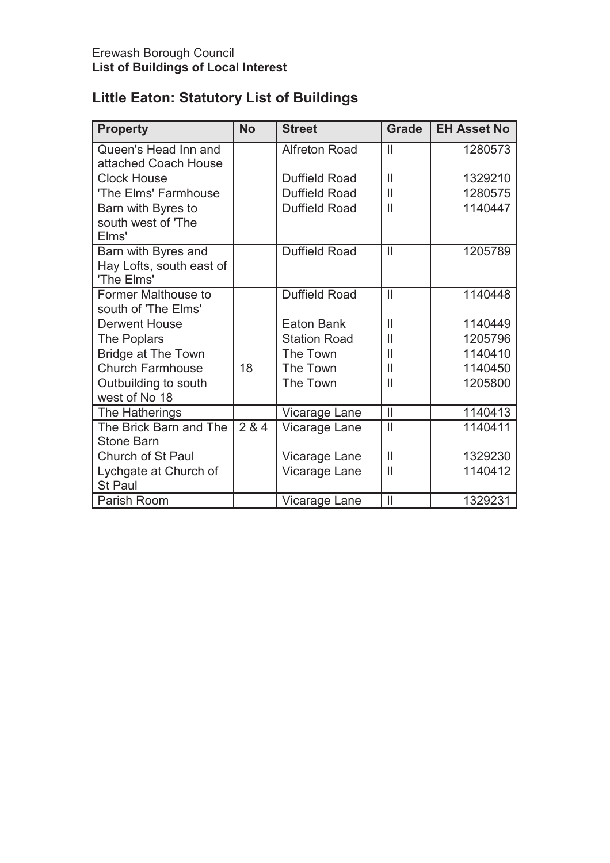# **Little Eaton: Statutory List of Buildings**

| <b>Property</b>                                               | <b>No</b>       | <b>Street</b>        | <b>Grade</b>  | <b>EH Asset No</b> |
|---------------------------------------------------------------|-----------------|----------------------|---------------|--------------------|
| Queen's Head Inn and<br>attached Coach House                  |                 | <b>Alfreton Road</b> | $\mathbf{  }$ | 1280573            |
| <b>Clock House</b>                                            |                 | <b>Duffield Road</b> | $\mathbf{I}$  | 1329210            |
| 'The Elms' Farmhouse                                          |                 | <b>Duffield Road</b> | $\mathbf{  }$ | 1280575            |
| Barn with Byres to<br>south west of 'The<br>Elms'             |                 | <b>Duffield Road</b> | $\mathbf{I}$  | 1140447            |
| Barn with Byres and<br>Hay Lofts, south east of<br>'The Elms' |                 | Duffield Road        | $\mathbf{I}$  | 1205789            |
| Former Malthouse to<br>south of 'The Elms'                    |                 | <b>Duffield Road</b> | $\mathbf{I}$  | 1140448            |
| <b>Derwent House</b>                                          |                 | Eaton Bank           | $\mathbf{I}$  | 1140449            |
| The Poplars                                                   |                 | <b>Station Road</b>  | $\mathbf{I}$  | 1205796            |
| <b>Bridge at The Town</b>                                     |                 | The Town             | $\mathbf{I}$  | 1140410            |
| <b>Church Farmhouse</b>                                       | $\overline{18}$ | The Town             | $\mathbf{I}$  | 1140450            |
| Outbuilding to south<br>west of No 18                         |                 | The Town             | $\mathbf{I}$  | 1205800            |
| The Hatherings                                                |                 | Vicarage Lane        | $\mathbf{I}$  | 1140413            |
| The Brick Barn and The<br><b>Stone Barn</b>                   | 284             | Vicarage Lane        | $\mathbf{I}$  | 1140411            |
| Church of St Paul                                             |                 | Vicarage Lane        | $\mathbf{I}$  | 1329230            |
| Lychgate at Church of<br><b>St Paul</b>                       |                 | Vicarage Lane        | $\mathbf{I}$  | 1140412            |
| Parish Room                                                   |                 | Vicarage Lane        | $\mathbf{I}$  | 1329231            |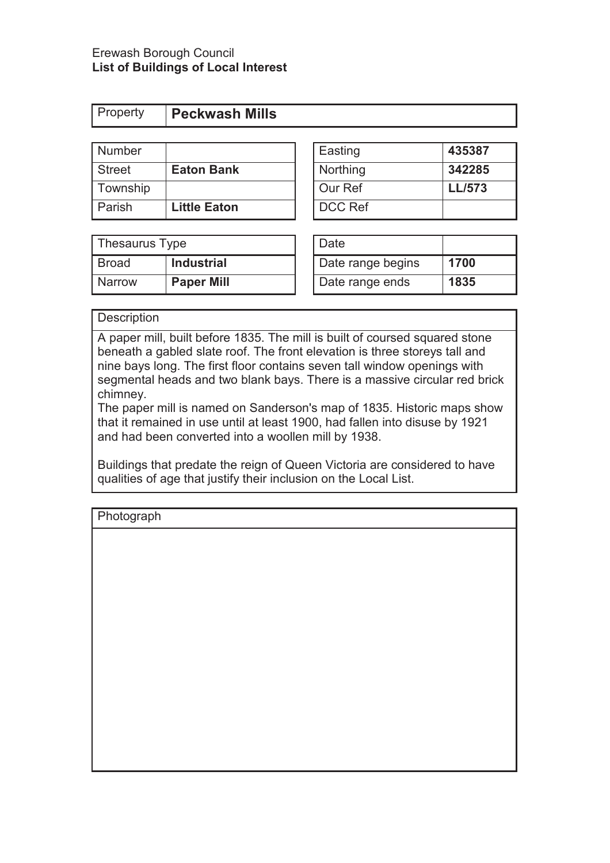| <b>Property</b> |
|-----------------|
|-----------------|

| Number   |                     | Easting        | 435387        |
|----------|---------------------|----------------|---------------|
| Street   | <b>Eaton Bank</b>   | Northing       | 342285        |
| Township |                     | Our Ref        | <b>LL/573</b> |
| Parish   | <b>Little Eaton</b> | <b>DCC Ref</b> |               |

| Easting        | 435387        |
|----------------|---------------|
| Northing       | 342285        |
| Our Ref        | <b>LL/573</b> |
| <b>DCC Ref</b> |               |

| Thesaurus Type |                   | Date              |      |
|----------------|-------------------|-------------------|------|
| <b>Broad</b>   | <b>Industrial</b> | Date range begins | 1700 |
| <b>Narrow</b>  | <b>Paper Mill</b> | Date range ends   | 1835 |

| Date              |      |
|-------------------|------|
| Date range begins | 1700 |
| Date range ends   | 1835 |

**Description** 

A paper mill, built before 1835. The mill is built of coursed squared stone beneath a gabled slate roof. The front elevation is three storeys tall and nine bays long. The first floor contains seven tall window openings with segmental heads and two blank bays. There is a massive circular red brick chimney.

The paper mill is named on Sanderson's map of 1835. Historic maps show that it remained in use until at least 1900, had fallen into disuse by 1921 and had been converted into a woollen mill by 1938.

Buildings that predate the reign of Queen Victoria are considered to have qualities of age that justify their inclusion on the Local List.

| Photograph |  |  |  |
|------------|--|--|--|
|            |  |  |  |
|            |  |  |  |
|            |  |  |  |
|            |  |  |  |
|            |  |  |  |
|            |  |  |  |
|            |  |  |  |
|            |  |  |  |
|            |  |  |  |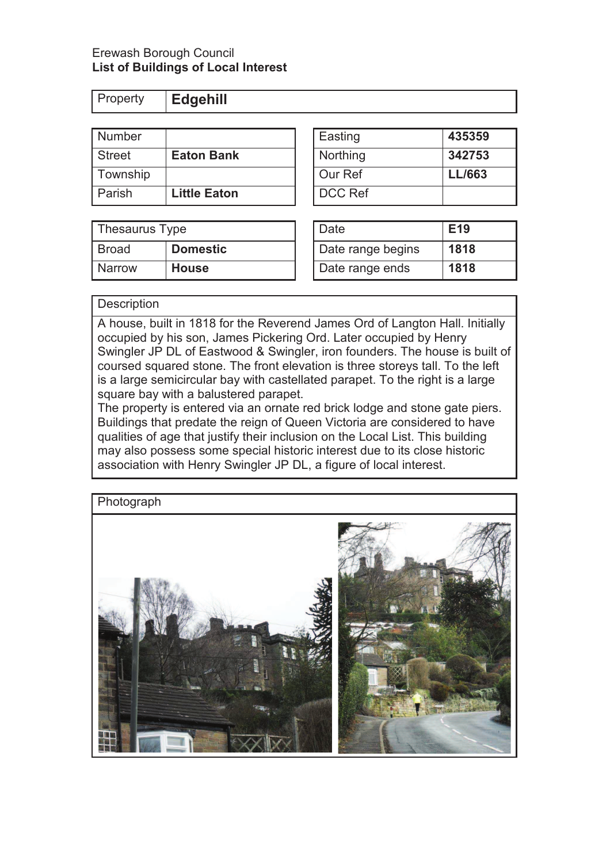Property **Edgehill** 

| <b>Number</b> |                     | Easting        | 435359        |
|---------------|---------------------|----------------|---------------|
| <b>Street</b> | <b>Eaton Bank</b>   | Northing       | 342753        |
| Township      |                     | Our Ref        | <b>LL/663</b> |
| Parish        | <b>Little Eaton</b> | <b>DCC Ref</b> |               |

| Thesaurus Type |                 | Date              | E <sub>19</sub> |
|----------------|-----------------|-------------------|-----------------|
| Broad          | <b>Domestic</b> | Date range begins | 1818            |
| <b>Narrow</b>  | <b>House</b>    | Date range ends   | 1818            |

| Easting  | 435359        |
|----------|---------------|
| Northing | 342753        |
| Our Ref  | <b>LL/663</b> |
| DCC Ref  |               |

| Date              | E19  |
|-------------------|------|
| Date range begins | 1818 |
| Date range ends   | 1818 |

#### **Description**

A house, built in 1818 for the Reverend James Ord of Langton Hall. Initially occupied by his son, James Pickering Ord. Later occupied by Henry Swingler JP DL of Eastwood & Swingler, iron founders. The house is built of coursed squared stone. The front elevation is three storeys tall. To the left is a large semicircular bay with castellated parapet. To the right is a large square bay with a balustered parapet.

The property is entered via an ornate red brick lodge and stone gate piers. Buildings that predate the reign of Queen Victoria are considered to have qualities of age that justify their inclusion on the Local List. This building may also possess some special historic interest due to its close historic association with Henry Swingler JP DL, a figure of local interest.

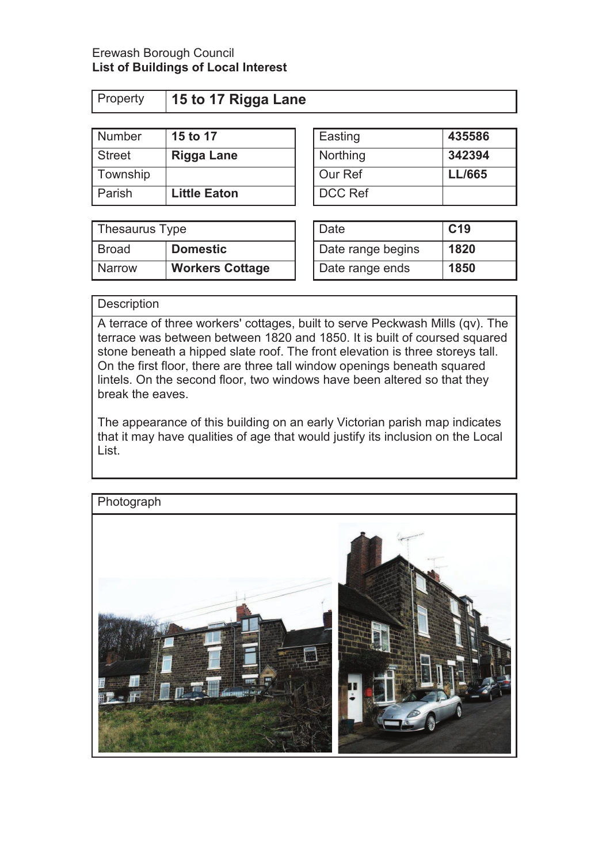| Property | 15 to 17 Rigga Lane |         |        |
|----------|---------------------|---------|--------|
|          |                     |         |        |
| Number   | 15 to 17            | Easting | 435586 |

| <b>Number</b> | <b>15 to 17</b>     | I Easting |
|---------------|---------------------|-----------|
| <b>Street</b> | <b>Rigga Lane</b>   | Northing  |
| Township      |                     | Our Ref   |
| Parish        | <b>Little Eaton</b> | DCC Ref   |

| <b>DCC Ref</b>    |                 |
|-------------------|-----------------|
| Date              | C <sub>19</sub> |
| Data ranga hagine | 1820            |

**Northing 242394** Township Our Ref **LL/665** 

| Thesaurus Type |                        | Date              | C <sub>19</sub> |
|----------------|------------------------|-------------------|-----------------|
| Broad          | <b>Domestic</b>        | Date range begins | 1820            |
| <b>Narrow</b>  | <b>Workers Cottage</b> | Date range ends   | 1850            |

| Date              | C <sub>19</sub> |
|-------------------|-----------------|
| Date range begins | 1820            |
| Date range ends   | 1850            |

## **Description**

A terrace of three workers' cottages, built to serve Peckwash Mills (qv). The terrace was between between 1820 and 1850. It is built of coursed squared stone beneath a hipped slate roof. The front elevation is three storeys tall. On the first floor, there are three tall window openings beneath squared lintels. On the second floor, two windows have been altered so that they break the eaves.

The appearance of this building on an early Victorian parish map indicates that it may have qualities of age that would justify its inclusion on the Local List.

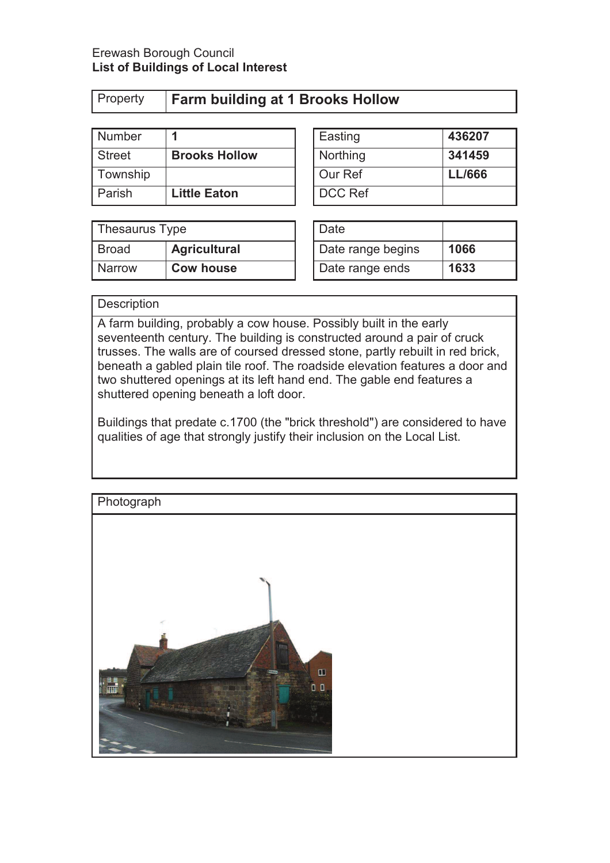| Property |
|----------|
|----------|

# Property **Farm building at 1 Brooks Hollow**

| Number        |                      | Easting  | 436207        |
|---------------|----------------------|----------|---------------|
| <b>Street</b> | <b>Brooks Hollow</b> | Northing | 341459        |
| Township      |                      | Our Ref  | <b>LL/666</b> |
| Parish        | <b>Little Eaton</b>  | DCC Ref  |               |

| Easting  | 436207        |
|----------|---------------|
| Northing | 341459        |
| Our Ref  | <b>LL/666</b> |
| DCC Ref  |               |

| Thesaurus Type |                     | Date              |      |
|----------------|---------------------|-------------------|------|
| <b>Broad</b>   | <b>Agricultural</b> | Date range begins | 1066 |
| <b>Narrow</b>  | <b>Cow house</b>    | Date range ends   | 1633 |

| Date              |      |
|-------------------|------|
| Date range begins | 1066 |
| Date range ends   | 1633 |

### **Description**

A farm building, probably a cow house. Possibly built in the early seventeenth century. The building is constructed around a pair of cruck trusses. The walls are of coursed dressed stone, partly rebuilt in red brick, beneath a gabled plain tile roof. The roadside elevation features a door and two shuttered openings at its left hand end. The gable end features a shuttered opening beneath a loft door.

Buildings that predate c.1700 (the "brick threshold") are considered to have qualities of age that strongly justify their inclusion on the Local List.